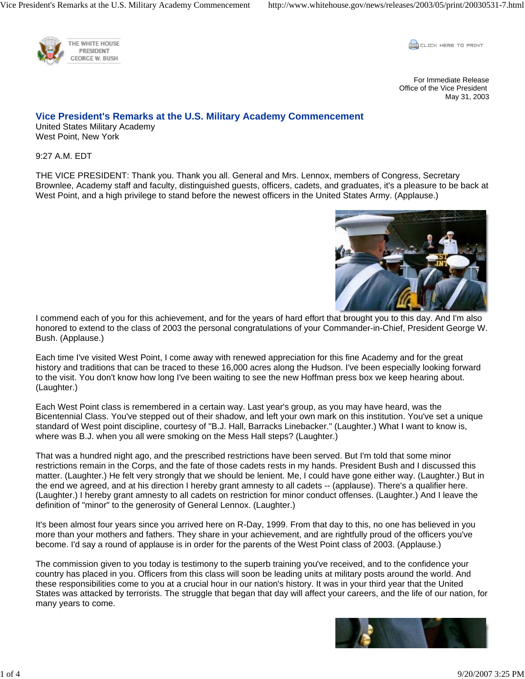



For Immediate Release Office of the Vice President May 31, 2003

## **Vice President's Remarks at the U.S. Military Academy Commencement**

United States Military Academy West Point, New York

9:27 A.M. EDT

THE VICE PRESIDENT: Thank you. Thank you all. General and Mrs. Lennox, members of Congress, Secretary Brownlee, Academy staff and faculty, distinguished guests, officers, cadets, and graduates, it's a pleasure to be back at West Point, and a high privilege to stand before the newest officers in the United States Army. (Applause.)



I commend each of you for this achievement, and for the years of hard effort that brought you to this day. And I'm also honored to extend to the class of 2003 the personal congratulations of your Commander-in-Chief, President George W. Bush. (Applause.)

Each time I've visited West Point, I come away with renewed appreciation for this fine Academy and for the great history and traditions that can be traced to these 16,000 acres along the Hudson. I've been especially looking forward to the visit. You don't know how long I've been waiting to see the new Hoffman press box we keep hearing about. (Laughter.)

Each West Point class is remembered in a certain way. Last year's group, as you may have heard, was the Bicentennial Class. You've stepped out of their shadow, and left your own mark on this institution. You've set a unique standard of West point discipline, courtesy of "B.J. Hall, Barracks Linebacker." (Laughter.) What I want to know is, where was B.J. when you all were smoking on the Mess Hall steps? (Laughter.)

That was a hundred night ago, and the prescribed restrictions have been served. But I'm told that some minor restrictions remain in the Corps, and the fate of those cadets rests in my hands. President Bush and I discussed this matter. (Laughter.) He felt very strongly that we should be lenient. Me, I could have gone either way. (Laughter.) But in the end we agreed, and at his direction I hereby grant amnesty to all cadets -- (applause). There's a qualifier here. (Laughter.) I hereby grant amnesty to all cadets on restriction for minor conduct offenses. (Laughter.) And I leave the definition of "minor" to the generosity of General Lennox. (Laughter.)

It's been almost four years since you arrived here on R-Day, 1999. From that day to this, no one has believed in you more than your mothers and fathers. They share in your achievement, and are rightfully proud of the officers you've become. I'd say a round of applause is in order for the parents of the West Point class of 2003. (Applause.)

The commission given to you today is testimony to the superb training you've received, and to the confidence your country has placed in you. Officers from this class will soon be leading units at military posts around the world. And these responsibilities come to you at a crucial hour in our nation's history. It was in your third year that the United States was attacked by terrorists. The struggle that began that day will affect your careers, and the life of our nation, for many years to come.

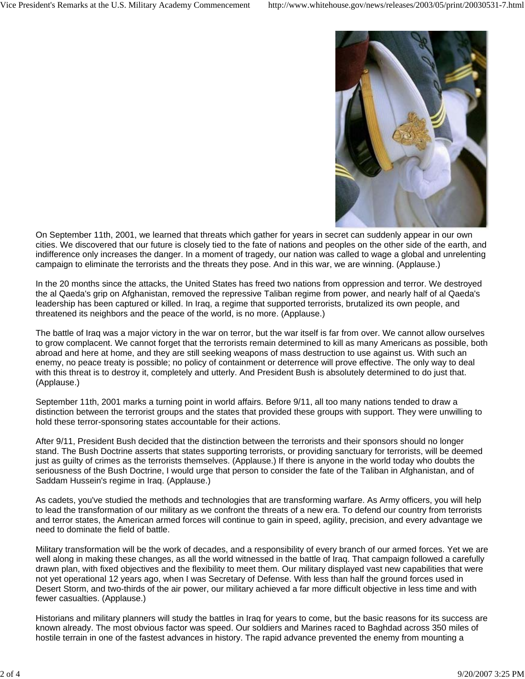

On September 11th, 2001, we learned that threats which gather for years in secret can suddenly appear in our own cities. We discovered that our future is closely tied to the fate of nations and peoples on the other side of the earth, and indifference only increases the danger. In a moment of tragedy, our nation was called to wage a global and unrelenting campaign to eliminate the terrorists and the threats they pose. And in this war, we are winning. (Applause.)

In the 20 months since the attacks, the United States has freed two nations from oppression and terror. We destroyed the al Qaeda's grip on Afghanistan, removed the repressive Taliban regime from power, and nearly half of al Qaeda's leadership has been captured or killed. In Iraq, a regime that supported terrorists, brutalized its own people, and threatened its neighbors and the peace of the world, is no more. (Applause.)

The battle of Iraq was a major victory in the war on terror, but the war itself is far from over. We cannot allow ourselves to grow complacent. We cannot forget that the terrorists remain determined to kill as many Americans as possible, both abroad and here at home, and they are still seeking weapons of mass destruction to use against us. With such an enemy, no peace treaty is possible; no policy of containment or deterrence will prove effective. The only way to deal with this threat is to destroy it, completely and utterly. And President Bush is absolutely determined to do just that. (Applause.)

September 11th, 2001 marks a turning point in world affairs. Before 9/11, all too many nations tended to draw a distinction between the terrorist groups and the states that provided these groups with support. They were unwilling to hold these terror-sponsoring states accountable for their actions.

After 9/11, President Bush decided that the distinction between the terrorists and their sponsors should no longer stand. The Bush Doctrine asserts that states supporting terrorists, or providing sanctuary for terrorists, will be deemed just as guilty of crimes as the terrorists themselves. (Applause.) If there is anyone in the world today who doubts the seriousness of the Bush Doctrine, I would urge that person to consider the fate of the Taliban in Afghanistan, and of Saddam Hussein's regime in Iraq. (Applause.)

As cadets, you've studied the methods and technologies that are transforming warfare. As Army officers, you will help to lead the transformation of our military as we confront the threats of a new era. To defend our country from terrorists and terror states, the American armed forces will continue to gain in speed, agility, precision, and every advantage we need to dominate the field of battle.

Military transformation will be the work of decades, and a responsibility of every branch of our armed forces. Yet we are well along in making these changes, as all the world witnessed in the battle of Iraq. That campaign followed a carefully drawn plan, with fixed objectives and the flexibility to meet them. Our military displayed vast new capabilities that were not yet operational 12 years ago, when I was Secretary of Defense. With less than half the ground forces used in Desert Storm, and two-thirds of the air power, our military achieved a far more difficult objective in less time and with fewer casualties. (Applause.)

Historians and military planners will study the battles in Iraq for years to come, but the basic reasons for its success are known already. The most obvious factor was speed. Our soldiers and Marines raced to Baghdad across 350 miles of hostile terrain in one of the fastest advances in history. The rapid advance prevented the enemy from mounting a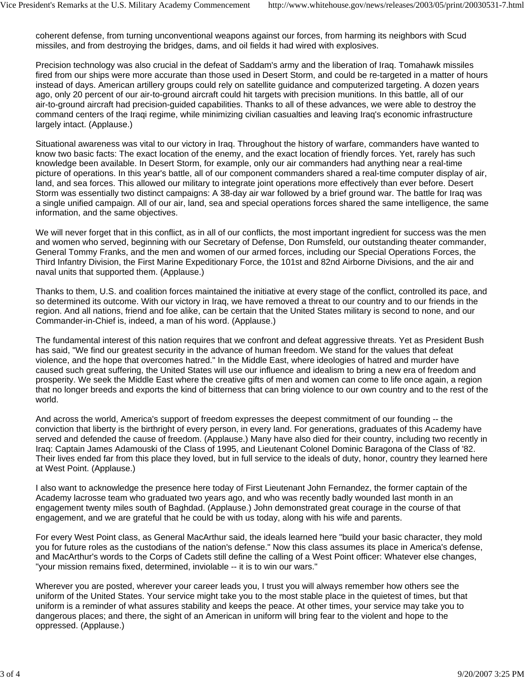coherent defense, from turning unconventional weapons against our forces, from harming its neighbors with Scud missiles, and from destroying the bridges, dams, and oil fields it had wired with explosives.

Precision technology was also crucial in the defeat of Saddam's army and the liberation of Iraq. Tomahawk missiles fired from our ships were more accurate than those used in Desert Storm, and could be re-targeted in a matter of hours instead of days. American artillery groups could rely on satellite guidance and computerized targeting. A dozen years ago, only 20 percent of our air-to-ground aircraft could hit targets with precision munitions. In this battle, all of our air-to-ground aircraft had precision-guided capabilities. Thanks to all of these advances, we were able to destroy the command centers of the Iraqi regime, while minimizing civilian casualties and leaving Iraq's economic infrastructure largely intact. (Applause.)

Situational awareness was vital to our victory in Iraq. Throughout the history of warfare, commanders have wanted to know two basic facts: The exact location of the enemy, and the exact location of friendly forces. Yet, rarely has such knowledge been available. In Desert Storm, for example, only our air commanders had anything near a real-time picture of operations. In this year's battle, all of our component commanders shared a real-time computer display of air, land, and sea forces. This allowed our military to integrate joint operations more effectively than ever before. Desert Storm was essentially two distinct campaigns: A 38-day air war followed by a brief ground war. The battle for Iraq was a single unified campaign. All of our air, land, sea and special operations forces shared the same intelligence, the same information, and the same objectives.

We will never forget that in this conflict, as in all of our conflicts, the most important ingredient for success was the men and women who served, beginning with our Secretary of Defense, Don Rumsfeld, our outstanding theater commander, General Tommy Franks, and the men and women of our armed forces, including our Special Operations Forces, the Third Infantry Division, the First Marine Expeditionary Force, the 101st and 82nd Airborne Divisions, and the air and naval units that supported them. (Applause.)

Thanks to them, U.S. and coalition forces maintained the initiative at every stage of the conflict, controlled its pace, and so determined its outcome. With our victory in Iraq, we have removed a threat to our country and to our friends in the region. And all nations, friend and foe alike, can be certain that the United States military is second to none, and our Commander-in-Chief is, indeed, a man of his word. (Applause.)

The fundamental interest of this nation requires that we confront and defeat aggressive threats. Yet as President Bush has said, "We find our greatest security in the advance of human freedom. We stand for the values that defeat violence, and the hope that overcomes hatred." In the Middle East, where ideologies of hatred and murder have caused such great suffering, the United States will use our influence and idealism to bring a new era of freedom and prosperity. We seek the Middle East where the creative gifts of men and women can come to life once again, a region that no longer breeds and exports the kind of bitterness that can bring violence to our own country and to the rest of the world.

And across the world, America's support of freedom expresses the deepest commitment of our founding -- the conviction that liberty is the birthright of every person, in every land. For generations, graduates of this Academy have served and defended the cause of freedom. (Applause.) Many have also died for their country, including two recently in Iraq: Captain James Adamouski of the Class of 1995, and Lieutenant Colonel Dominic Baragona of the Class of '82. Their lives ended far from this place they loved, but in full service to the ideals of duty, honor, country they learned here at West Point. (Applause.)

I also want to acknowledge the presence here today of First Lieutenant John Fernandez, the former captain of the Academy lacrosse team who graduated two years ago, and who was recently badly wounded last month in an engagement twenty miles south of Baghdad. (Applause.) John demonstrated great courage in the course of that engagement, and we are grateful that he could be with us today, along with his wife and parents.

For every West Point class, as General MacArthur said, the ideals learned here "build your basic character, they mold you for future roles as the custodians of the nation's defense." Now this class assumes its place in America's defense, and MacArthur's words to the Corps of Cadets still define the calling of a West Point officer: Whatever else changes, "your mission remains fixed, determined, inviolable -- it is to win our wars."

Wherever you are posted, wherever your career leads you, I trust you will always remember how others see the uniform of the United States. Your service might take you to the most stable place in the quietest of times, but that uniform is a reminder of what assures stability and keeps the peace. At other times, your service may take you to dangerous places; and there, the sight of an American in uniform will bring fear to the violent and hope to the oppressed. (Applause.)